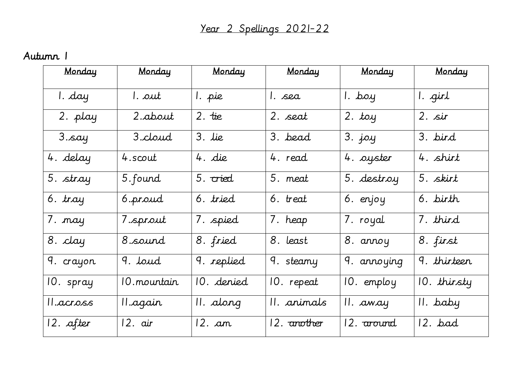## Autumn 1

| Monday                | Monday       | Monday     | Monday      | Monday                | Monday      |
|-----------------------|--------------|------------|-------------|-----------------------|-------------|
| I. day                | 1. out       | 1. pie     | l. sea      | l. boy                | 1. girl     |
| 2. play               | 2.about      | $2.$ tie   | 2. seat     | $2.$ toy              | $2.$ sir    |
| 3.say                 | 3.cloud      | $3.$ lie   | 3. bead     | $3.$ joy              | 3. bird     |
| 4. delay              | 4.scout      | 4. die     | 4. read     | 4. oyster             | 4. shirt    |
| 5. stray              | 5. found     | 5. cried   | 5. meat     | 5. destroy            | 5. skirt    |
| $\overline{6}$ . tray | 6.proud      | 6. tried   | 6. treat    | 6. enjoy              | 6. birth    |
| 7. nay                | 7.sprout     | 7. spied   | 7. heap     | 7. royal              | 7. third    |
| 8. clay               | 8.sound      | 8. fried   | $8.$ least  | 8. annoy              | 8. first    |
| 9. crayon             | 9. loud      | 9. replied | 9. steamy   | 9. annoying           | 9. thirteen |
| 10. spray             | 10. mountain | 10. denied | 10. repeat  | 10. employ            | 10. thirsty |
| II.across             | II.again     | II. along  | II. animals | II. away              | II. baby    |
| 12. after             | 12. air      | 12. an     | 12. another | 12. <del>around</del> | 12. bad     |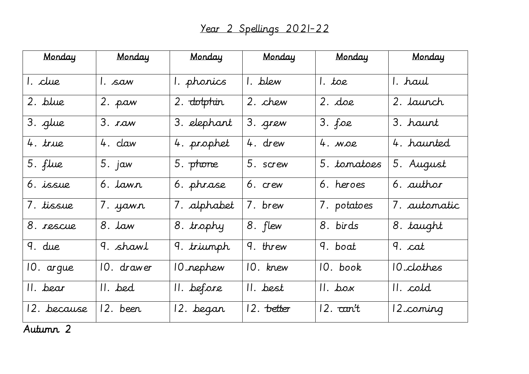| Monday      | Monday                | Monday                    | Monday     | Monday            | Monday            |
|-------------|-----------------------|---------------------------|------------|-------------------|-------------------|
| 1. clue     | l. saw                | 1. phonics                | 1. blew    | $l.$ toe          | I. haul           |
| 2. blue     | 2. paw                | 2. dotphin                | 2. chew    | $2.$ doe          | 2. launch         |
| 3. glue     | 3. xaw                | 3. elephant               | 3. grew    | $3.$ foe          | 3. haunt          |
| 4. true     | 4. claw               | 4. prophet                | 4. drew    | $4.$ $MOP$        | 4. haunted        |
| 5. flue     | $\overline{5}$ . jaw  | 5. phone                  | 5. screw   | 5. tomatoes       | 5. August         |
| 6. issue    | $6.$ lawn             | 6. phrase                 | 6. crew    | $6.$ heroes       | 6. author         |
| 7. tissue   | 7. yawn               | 7. alphabet               | 7. brew    | 7. potatoes       | 7. automatic      |
| 8. rescue   | 8. law                | 8. trophy                 | 8. flew    | 8. birds          | 8. taught         |
| 9. due      | 9. shawl              | 9. triumph                | 9. threw   | 9. boat           | 9. cat            |
| 10. argue   | 10. drawer            | 10.rephew                 | 10. knew   | IO. book          | 10. clothes       |
| II. bear    | II. bed               | $\overline{\Pi}$ . before | II. best   | $II.$ box         | $II. \text{cold}$ |
| 12. because | $\overline{1}2.$ been | 12. began                 | 12. better | $12.$ $\tau$ an't | 12.coming         |

Autumn 2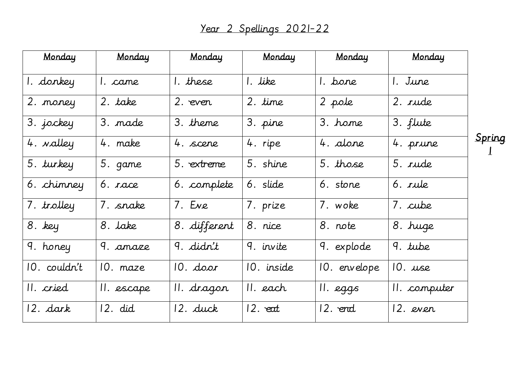| Monday       | <b>Monday</b> | Monday       | <b>Monday</b> | Monday       | Monday       |  |
|--------------|---------------|--------------|---------------|--------------|--------------|--|
| 1. donkey    | I. came       | I. these     | 1. like       | I. bone      | 1. June      |  |
| 2. money     | 2. take       | 2. even      | 2. time       | 2 pole       | 2. rude      |  |
| 3. jockey    | 3. made       | 3. theme     | 3. pine       | 3. home      | 3. flute     |  |
| 4. valley    | 4. make       | 4. scene     | 4. ripe       | 4. alone     | 4. prune     |  |
| 5. turkey    | 5. game       | 5. extreme   | 5. shine      | 5. those     | 5. rude      |  |
| 6. chimney   | 6. race       | 6. complete  | 6. slide      | 6. stone     | 6. rule      |  |
| 7. trolley   | 7. snake      | 7. Eve       | 7. prize      | 7. woke      | 7. cube      |  |
| 8. key       | 8. lake       | 8. different | 8. nice       | 8. note      | 8. huge      |  |
| 9. honey     | 9. amaze      | 9. didn't    | 9. invite     | 9. explode   | 9. tube      |  |
| 10. couldn't | 10. maze      | $10.$ door   | 10. inside    | 10. envelope | $10.$ use    |  |
| II. cried    | II. escape    | II. dragon   | II. each      | II. eggs     | II. computer |  |
| 12. dark     | 12. did       | 12. duck     | $12.$ eat     | 12. end      | 12. even     |  |

Spring

1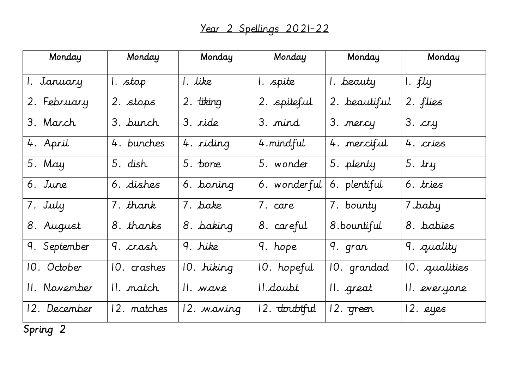| Monday       | Monday      | Monday                | Monday                | Monday       | Monday        |
|--------------|-------------|-----------------------|-----------------------|--------------|---------------|
| 1. January   | 1. stop     | 1. like               | 1. spite              | I. beauty    | 1. $f$ ly     |
| 2. February  | 2. stops    | 2. tiking             | 2. spiteful           | 2. beautiful | 2. flies      |
| 3. March     | 3. bunch    | 3. ride               | 3. mind               | 3. mercy     | $3.$ $cry$    |
| 4. April     | 4. bunches  | 4. riding             | 4. mindful            | 4. merciful  | 4. cries      |
| 5. May       | 5. dish     | $\overline{5}$ . bone | 5. wonder             | 5. plenty    | $5.$ try      |
| 6. June      | 6. dishes   | 6. boning             | 6. wonderful          | 6. plentiful | 6. tries      |
| 7. July      | 7. thank    | 7. bake               | 7. care               | 7. bounty    | 7.baby        |
| 8. August    | 8. thanks   | 8. baking             | 8. careful            | 8.bountiful  | 8. babies     |
| 9. September | 9. crash    | 9. hike               | $\overline{9}$ . hope | 9. gran      | 9. quality    |
| 10. October  | 10. crashes | 10. hiking            | 10. hopeful           | 10. grandad  | 10. qualities |
| II. November | II. match   | II. wave              | 11.doubt              | II. great    | 11. everyone  |
| 12. December | 12. matches | 12. waving            | 12. doubtful          | 12. green    | 12. eyes      |

Spring 2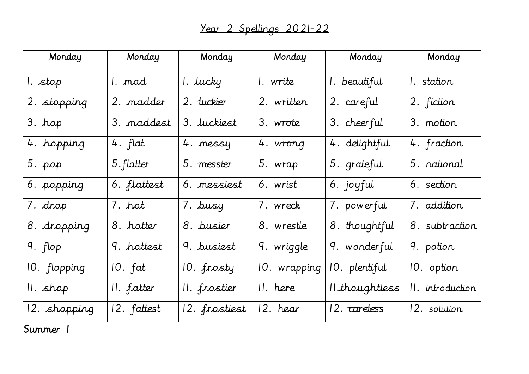| Monday       | Monday      | Monday             | Monday                 | Monday         | Monday           |
|--------------|-------------|--------------------|------------------------|----------------|------------------|
| 1. stop      | I. mad      | 1. lucky           | 1. write               | 1. beautiful   | I. station       |
| 2. stopping  | 2. madder   | 2. tuckier         | 2. written             | 2. careful     | 2. fiction       |
| 3. hop       | 3. maddest  | 3. <i>Juckiest</i> | 3. wrote               | 3. cheerful    | 3. motion        |
| 4. hopping   | 4. $flat$   | 4. messy           | 4. wrong               | 4. delightful  | 4. fraction      |
| 5. рор       | 5. flatter  | 5. messier         | 5. wrap                | 5. grateful    | 5. national      |
| 6. popping   | 6. flattest | 6. messiest        | 6. wrist               | 6. joyful      | 6. section       |
| 7. drop      | 7. hot      | 7. busy            | 7. wreck               | 7. powerful    | 7. addition      |
| 8. dropping  | 8. hotter   | 8. busier          | 8. wrestle             | 8. thoughtful  | 8. subtraction   |
| 9. flop      | 9. hottest  | 9. busiest         | 9. wriggle             | 9. wonderful   | 9. potion        |
| 10. flopping | $10.$ $fat$ | 10. frosty         | 10. wrapping           | 10. plentiful  | 10. option       |
| II. shop     | II. fatter  | II. frostier       | $\overline{  }$ . here | 11.thoughtless | II. introduction |
| 12. shopping | 12. fattest | 12. frostiest      | 12. hear               | 12. carebess   | 12. solution     |

Summer 1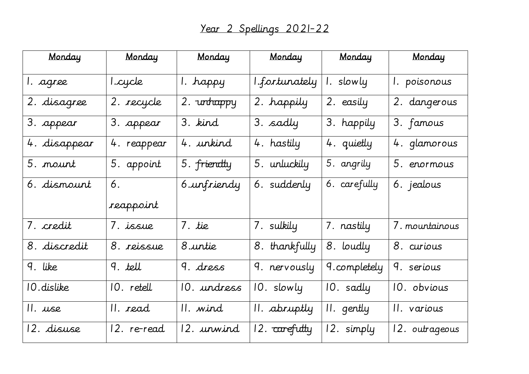| Monday       | Monday      | Monday      | Monday                   | Monday       | Monday         |
|--------------|-------------|-------------|--------------------------|--------------|----------------|
| l. agree     | 1.cycle     | 1. happy    | I.fortunately            | 1. slowly    | 1. poisonous   |
| 2. disagree  | 2. recycle  | 2. unhappy  | 2. happily               | 2. easily    | 2. dangerous   |
| 3. appear    | 3. appear   | 3. kind     | 3. sadly                 | 3. happily   | 3. famous      |
| 4. disappear | 4. reappear | 4. unkind   | 4. hastily               | 4. quietly   | 4. glamorous   |
| 5. nount     | 5. appoint  | 5. friendly | 5. unluckily             | 5. angrily   | 5. enormous    |
| 6. dismount  | 6.          | 6.unfriendy | 6. suddenly              | 6. carefully | 6. jealous     |
|              | reappoint   |             |                          |              |                |
| 7. credit    | 7. issue    | 7. tie      | 7. sulkily               | 7. nastily   | 7. mountainous |
| 8. discredit | 8. reissue  | 8.untie     | 8. thankfully            | 8. loudly    | 8. curious     |
| 9. like      | 9. tell     | $9.$ dress  | 9. nervously             | 9.completely | 9. serious     |
| 10. dislike  | 10. retell  | 10. undress | 10. slowly               | 10. sadly    | 10. obvious    |
| II. use      | II. read    | II. wind    | II. abruptly             | II. gently   | II. various    |
| 12. disuse   | 12. re-read | 12. urwind  | 12. <del>carefully</del> | 12. simply   | 12. outrageous |